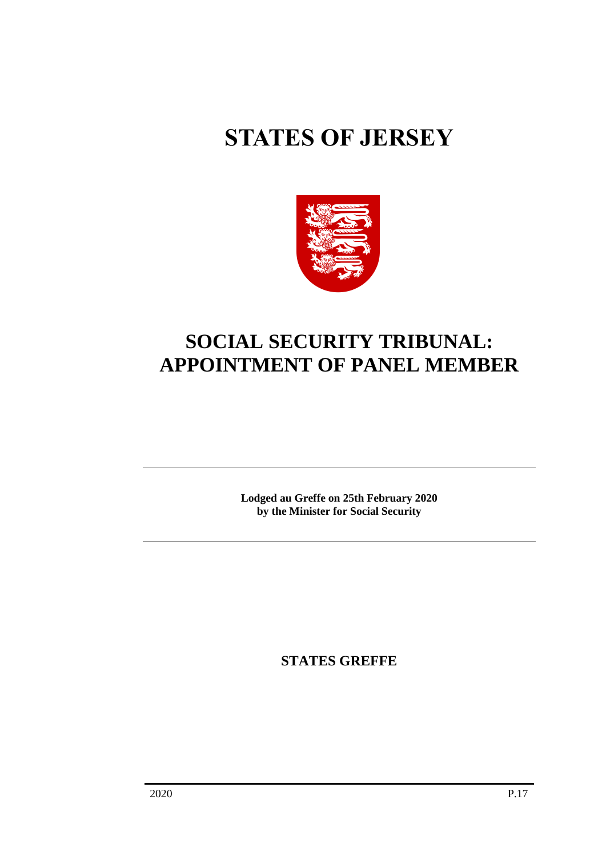# **STATES OF JERSEY**



## **SOCIAL SECURITY TRIBUNAL: APPOINTMENT OF PANEL MEMBER**

**Lodged au Greffe on 25th February 2020 by the Minister for Social Security**

**STATES GREFFE**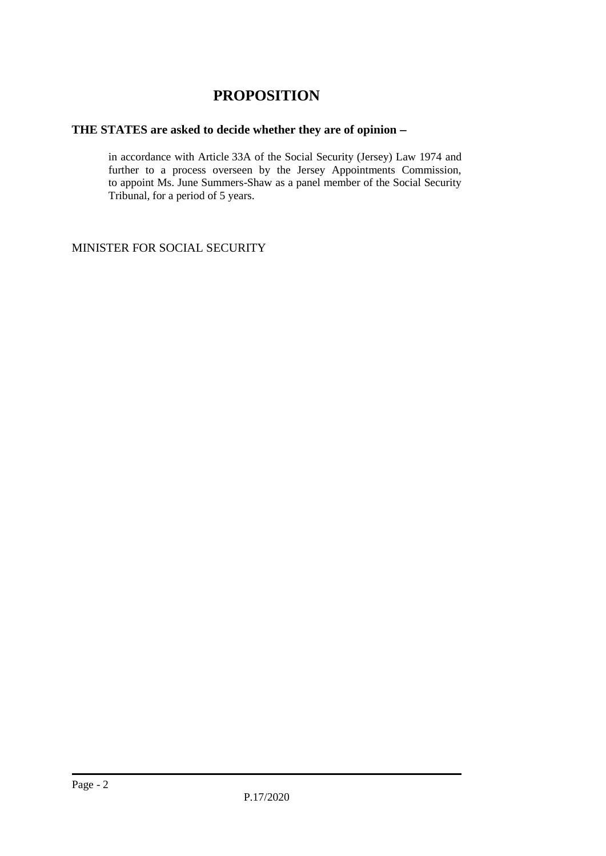### **PROPOSITION**

#### **THE STATES are asked to decide whether they are of opinion** −

in accordance with Article 33A of the Social Security (Jersey) Law 1974 and further to a process overseen by the Jersey Appointments Commission, to appoint Ms. June Summers-Shaw as a panel member of the Social Security Tribunal, for a period of 5 years.

MINISTER FOR SOCIAL SECURITY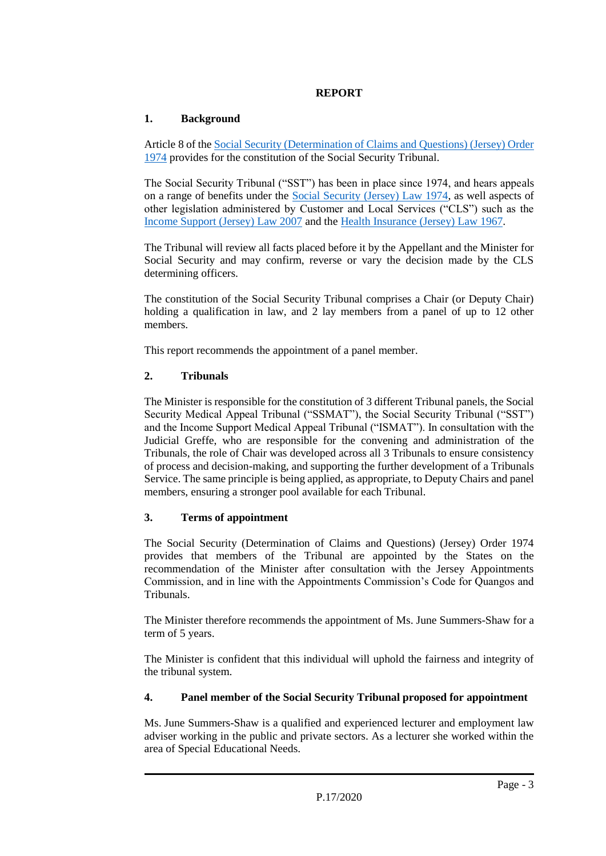#### **REPORT**

#### **1. Background**

Article 8 of th[e Social Security \(Determination of Claims and Questions\) \(Jersey\) Order](https://www.jerseylaw.je/laws/revised/Pages/26.900.28.aspx)  [1974](https://www.jerseylaw.je/laws/revised/Pages/26.900.28.aspx) provides for the constitution of the Social Security Tribunal.

The Social Security Tribunal ("SST") has been in place since 1974, and hears appeals on a range of benefits under the [Social Security \(Jersey\) Law 1974,](https://www.jerseylaw.je/laws/revised/Pages/26.900.aspx) as well aspects of other legislation administered by Customer and Local Services ("CLS") such as the [Income Support \(Jersey\) Law 2007](https://www.jerseylaw.je/laws/revised/Pages/26.550.aspx) and th[e Health Insurance \(Jersey\) Law 1967.](https://www.jerseylaw.je/laws/revised/Pages/26.500.aspx)

The Tribunal will review all facts placed before it by the Appellant and the Minister for Social Security and may confirm, reverse or vary the decision made by the CLS determining officers.

The constitution of the Social Security Tribunal comprises a Chair (or Deputy Chair) holding a qualification in law, and 2 lay members from a panel of up to 12 other members.

This report recommends the appointment of a panel member.

#### **2. Tribunals**

The Minister is responsible for the constitution of 3 different Tribunal panels, the Social Security Medical Appeal Tribunal ("SSMAT"), the Social Security Tribunal ("SST") and the Income Support Medical Appeal Tribunal ("ISMAT"). In consultation with the Judicial Greffe, who are responsible for the convening and administration of the Tribunals, the role of Chair was developed across all 3 Tribunals to ensure consistency of process and decision-making, and supporting the further development of a Tribunals Service. The same principle is being applied, as appropriate, to Deputy Chairs and panel members, ensuring a stronger pool available for each Tribunal.

#### **3. Terms of appointment**

The Social Security (Determination of Claims and Questions) (Jersey) Order 1974 provides that members of the Tribunal are appointed by the States on the recommendation of the Minister after consultation with the Jersey Appointments Commission, and in line with the Appointments Commission's Code for Quangos and Tribunals.

The Minister therefore recommends the appointment of Ms. June Summers-Shaw for a term of 5 years.

The Minister is confident that this individual will uphold the fairness and integrity of the tribunal system.

#### **4. Panel member of the Social Security Tribunal proposed for appointment**

Ms. June Summers-Shaw is a qualified and experienced lecturer and employment law adviser working in the public and private sectors. As a lecturer she worked within the area of Special Educational Needs.